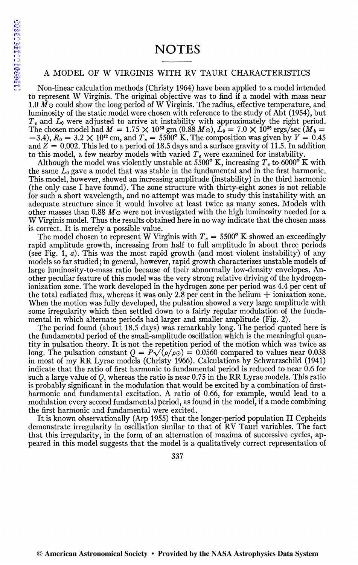## **NOTES**

## A MODEL OF W VIRGINIS WITH RV TAURI CHARACTERISTICS

Non-linear calculation methods (Christy 1964) have been applied to a model intended to represent W Virginis. The original objective was to find if a model with mass near 1.0  $\tilde{M}$  o could show the long period of W Virginis. The radius, effective temperature, and luminosity of the static model were chosen with reference to the study of Abt (1954), but *T e* and *L0* were adjusted to arrive at instability with approximately the right period. The chosen model had  $M = 1.75 \times 10^{33}$  gm (0.88  $M_{\odot}$ ),  $L_0 = 7.0 \times 10^{36}$  ergs/sec  $(M_b =$  $(-3.4)$ ,  $R_0 = 3.2 \times 10^{12}$  cm, and  $T_e = 5500^{\circ}$  K. The composition was given by  $Y = 0.45$ and  $Z = 0.002$ . This led to a period of 18.5 days and a surface gravity of 11.5. In addition to this model, a few nearby models with varied *T e* were examined for instability.

Although the model was violently unstable at 5500 $\textdegree$  K, increasing  $T_e$  to 6000 $\textdegree$  K with the same L*0* gave a model that was stable in the fundamental and in the first harmonic. This model, however, showed an increasing amplitude (instability) in the third harmonic (the only case I have found). The zone structure with thirty-eight zones is not reliable for such a short wavelength, and no attempt was made to study this instability with an adequate structure since it would involve at least twice as many zones. Models with other masses than 0.88  $M\odot$  were not investigated with the high luminosity needed for a W Virginis model. Thus the results obtained here in no way indicate that the chosen mass is correct. It is merely a possible value.

The model chosen to represent W Virginis with  $T_e = 5500^{\circ}$  K showed an exceedingly rapid amplitude growth, increasing from half to full amplitude in about three periods (see Fig. 1, a). This was the most rapid growth (and most violent instability) of any models so far studied; in general, however, rapid growth characterizes unstable models of large luminosity-to-mass ratio because of their abnormally low-density envelopes. Another peculiar feature of this model was the very strong relative driving of the hydrogenionization zone. The work developed in the hydrogen zone per period was 4.4 per cent of the total radiated flux, whereas it was only 2.8 per cent in the helium  $+$  ionization zone. When the motion was fully developed, the pulsation showed a very large amplitude with some irregularity which then settled down to a fairly regular modulation of the fundamental in which alternate periods had larger and smaller amplitude (Fig. 2).

The period found (about 18.5 days) was remarkably long. The period quoted here is the fundamental period of the small-amplitude oscillation which is the meaningful quantity in pulsation theory. It is not the repetition period of the motion which was twice as long. The pulsation constant  $Q = P\sqrt{\rho/\rho}$  = 0.0560 compared to values near 0.038 in most of my RR Lyrae models (Christy 1966). Calculations by Schwarzschild (1941) indicate that the ratio of first harmonic to fundamental period is reduced to near  $0.6$  for such a large value of  $Q$ , whereas the ratio is near 0.75 in the RR Lyrae models. This ratio is probably significant in the modulation that would be excited by a combination of firstharmonic and fundamental excitation. A ratio of 0.66, for example, would lead to a modulation every second fundamental period, as found in the model, if a mode combining the first harmonic and fundamental were excited.

It is known observationally (Arp 1955) that the longer-period population II Cepheids demonstrate irregularity in oscillation similar to that of RV Tauri variables. The fact that this irregularity, in the form of an alternation of maxima of successive cycles, appeared in this model suggests that the model is a qualitatively correct representation of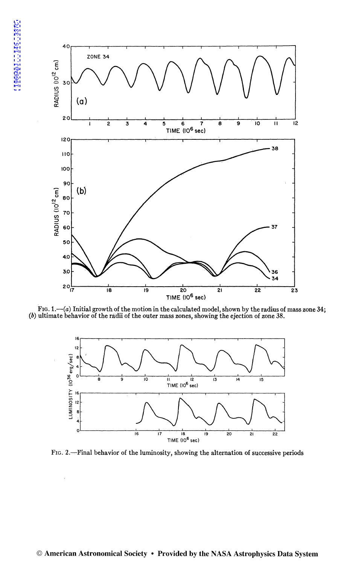

FIG. 1. $-(a)$  Initial growth of the motion in the calculated model, shown by the radius of mass zone 34; (b) ultimate behavior of the radii of the outer mass zones, showing the ejection of zone 38.



FIG. 2.-Final behavior of the luminosity, showing the alternation of successive periods